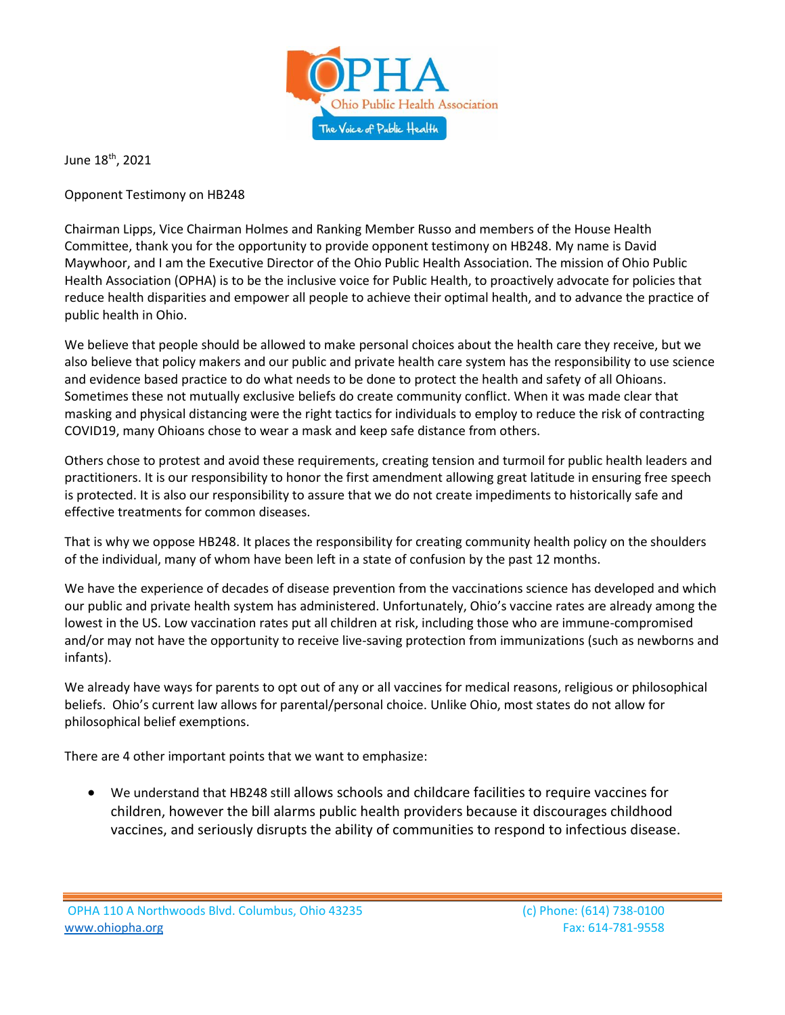

June 18th, 2021

Opponent Testimony on HB248

Chairman Lipps, Vice Chairman Holmes and Ranking Member Russo and members of the House Health Committee, thank you for the opportunity to provide opponent testimony on HB248. My name is David Maywhoor, and I am the Executive Director of the Ohio Public Health Association. The mission of Ohio Public Health Association (OPHA) is to be the inclusive voice for Public Health, to proactively advocate for policies that reduce health disparities and empower all people to achieve their optimal health, and to advance the practice of public health in Ohio.

We believe that people should be allowed to make personal choices about the health care they receive, but we also believe that policy makers and our public and private health care system has the responsibility to use science and evidence based practice to do what needs to be done to protect the health and safety of all Ohioans. Sometimes these not mutually exclusive beliefs do create community conflict. When it was made clear that masking and physical distancing were the right tactics for individuals to employ to reduce the risk of contracting COVID19, many Ohioans chose to wear a mask and keep safe distance from others.

Others chose to protest and avoid these requirements, creating tension and turmoil for public health leaders and practitioners. It is our responsibility to honor the first amendment allowing great latitude in ensuring free speech is protected. It is also our responsibility to assure that we do not create impediments to historically safe and effective treatments for common diseases.

That is why we oppose HB248. It places the responsibility for creating community health policy on the shoulders of the individual, many of whom have been left in a state of confusion by the past 12 months.

We have the experience of decades of disease prevention from the vaccinations science has developed and which our public and private health system has administered. Unfortunately, Ohio's vaccine rates are already among the lowest in the US. Low vaccination rates put all children at risk, including those who are immune-compromised and/or may not have the opportunity to receive live-saving protection from immunizations (such as newborns and infants).

We already have ways for parents to opt out of any or all vaccines for medical reasons, religious or philosophical beliefs. Ohio's current law allows for parental/personal choice. Unlike Ohio, most states do not allow for philosophical belief exemptions.

There are 4 other important points that we want to emphasize:

• We understand that HB248 still allows schools and childcare facilities to require vaccines for children, however the bill alarms public health providers because it discourages childhood vaccines, and seriously disrupts the ability of communities to respond to infectious disease.